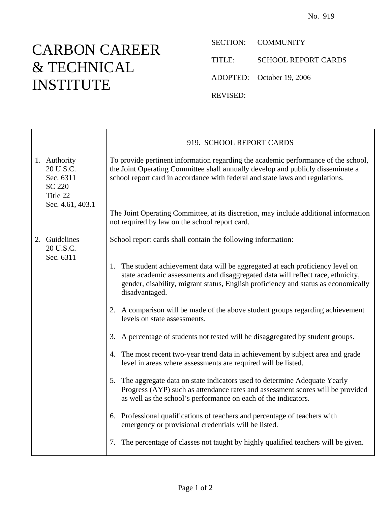## CARBON CAREER & TECHNICAL INSTITUTE

Ē

SECTION: COMMUNITY

TITLE: SCHOOL REPORT CARDS

ADOPTED: October 19, 2006

REVISED:

|                                                                                         | 919. SCHOOL REPORT CARDS                                                                                                                                                                                                                                                   |
|-----------------------------------------------------------------------------------------|----------------------------------------------------------------------------------------------------------------------------------------------------------------------------------------------------------------------------------------------------------------------------|
| 1. Authority<br>20 U.S.C.<br>Sec. 6311<br><b>SC 220</b><br>Title 22<br>Sec. 4.61, 403.1 | To provide pertinent information regarding the academic performance of the school,<br>the Joint Operating Committee shall annually develop and publicly disseminate a<br>school report card in accordance with federal and state laws and regulations.                     |
|                                                                                         | The Joint Operating Committee, at its discretion, may include additional information<br>not required by law on the school report card.                                                                                                                                     |
| 2. Guidelines<br>20 U.S.C.<br>Sec. 6311                                                 | School report cards shall contain the following information:                                                                                                                                                                                                               |
|                                                                                         | 1. The student achievement data will be aggregated at each proficiency level on<br>state academic assessments and disaggregated data will reflect race, ethnicity,<br>gender, disability, migrant status, English proficiency and status as economically<br>disadvantaged. |
|                                                                                         | 2. A comparison will be made of the above student groups regarding achievement<br>levels on state assessments.                                                                                                                                                             |
|                                                                                         | 3. A percentage of students not tested will be disaggregated by student groups.                                                                                                                                                                                            |
|                                                                                         | 4. The most recent two-year trend data in achievement by subject area and grade<br>level in areas where assessments are required will be listed.                                                                                                                           |
|                                                                                         | 5. The aggregate data on state indicators used to determine Adequate Yearly<br>Progress (AYP) such as attendance rates and assessment scores will be provided<br>as well as the school's performance on each of the indicators.                                            |
|                                                                                         | 6. Professional qualifications of teachers and percentage of teachers with<br>emergency or provisional credentials will be listed.                                                                                                                                         |
|                                                                                         | 7. The percentage of classes not taught by highly qualified teachers will be given.                                                                                                                                                                                        |